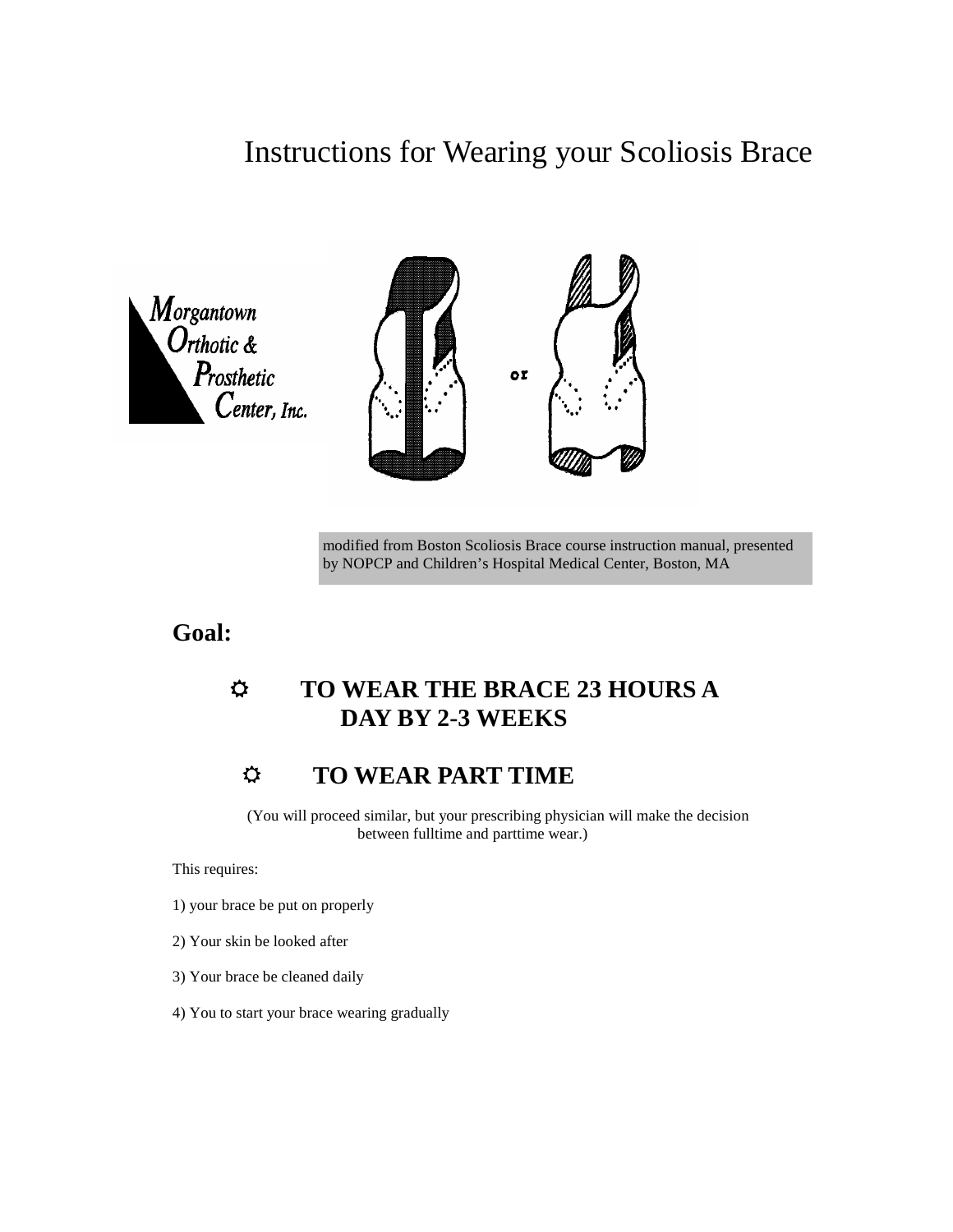# Instructions for Wearing your Scoliosis Brace





modified from Boston Scoliosis Brace course instruction manual, presented by NOPCP and Children's Hospital Medical Center, Boston, MA

**Goal:** 

## **TO WEAR THE BRACE 23 HOURS A DAY BY 2-3 WEEKS**

## **TO WEAR PART TIME**

 (You will proceed similar, but your prescribing physician will make the decision between fulltime and parttime wear.)

This requires:

- 1) your brace be put on properly
- 2) Your skin be looked after
- 3) Your brace be cleaned daily
- 4) You to start your brace wearing gradually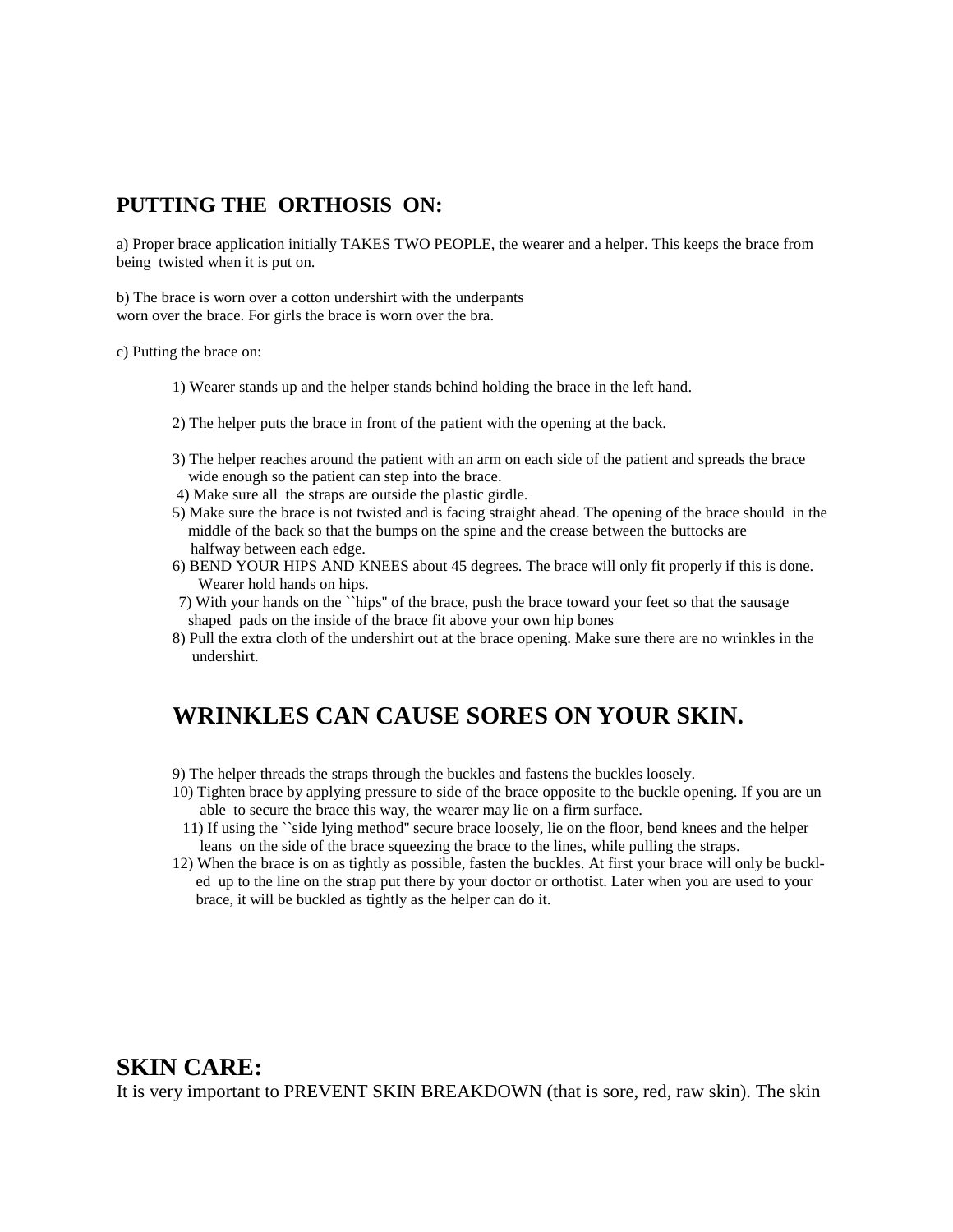### **PUTTING THE ORTHOSIS ON:**

a) Proper brace application initially TAKES TWO PEOPLE, the wearer and a helper. This keeps the brace from being twisted when it is put on.

b) The brace is worn over a cotton undershirt with the underpants worn over the brace. For girls the brace is worn over the bra.

c) Putting the brace on:

- 1) Wearer stands up and the helper stands behind holding the brace in the left hand.
- 2) The helper puts the brace in front of the patient with the opening at the back.
- 3) The helper reaches around the patient with an arm on each side of the patient and spreads the brace wide enough so the patient can step into the brace.
- 4) Make sure all the straps are outside the plastic girdle.
- 5) Make sure the brace is not twisted and is facing straight ahead. The opening of the brace should in the middle of the back so that the bumps on the spine and the crease between the buttocks are halfway between each edge.
- 6) BEND YOUR HIPS AND KNEES about 45 degrees. The brace will only fit properly if this is done. Wearer hold hands on hips.
- 7) With your hands on the ``hips'' of the brace, push the brace toward your feet so that the sausage shaped pads on the inside of the brace fit above your own hip bones
- 8) Pull the extra cloth of the undershirt out at the brace opening. Make sure there are no wrinkles in the undershirt.

## **WRINKLES CAN CAUSE SORES ON YOUR SKIN.**

- 9) The helper threads the straps through the buckles and fastens the buckles loosely.
- 10) Tighten brace by applying pressure to side of the brace opposite to the buckle opening. If you are un able to secure the brace this way, the wearer may lie on a firm surface.
- 11) If using the ``side lying method'' secure brace loosely, lie on the floor, bend knees and the helper leans on the side of the brace squeezing the brace to the lines, while pulling the straps.
- 12) When the brace is on as tightly as possible, fasten the buckles. At first your brace will only be buckl ed up to the line on the strap put there by your doctor or orthotist. Later when you are used to your brace, it will be buckled as tightly as the helper can do it.

### **SKIN CARE:**

It is very important to PREVENT SKIN BREAKDOWN (that is sore, red, raw skin). The skin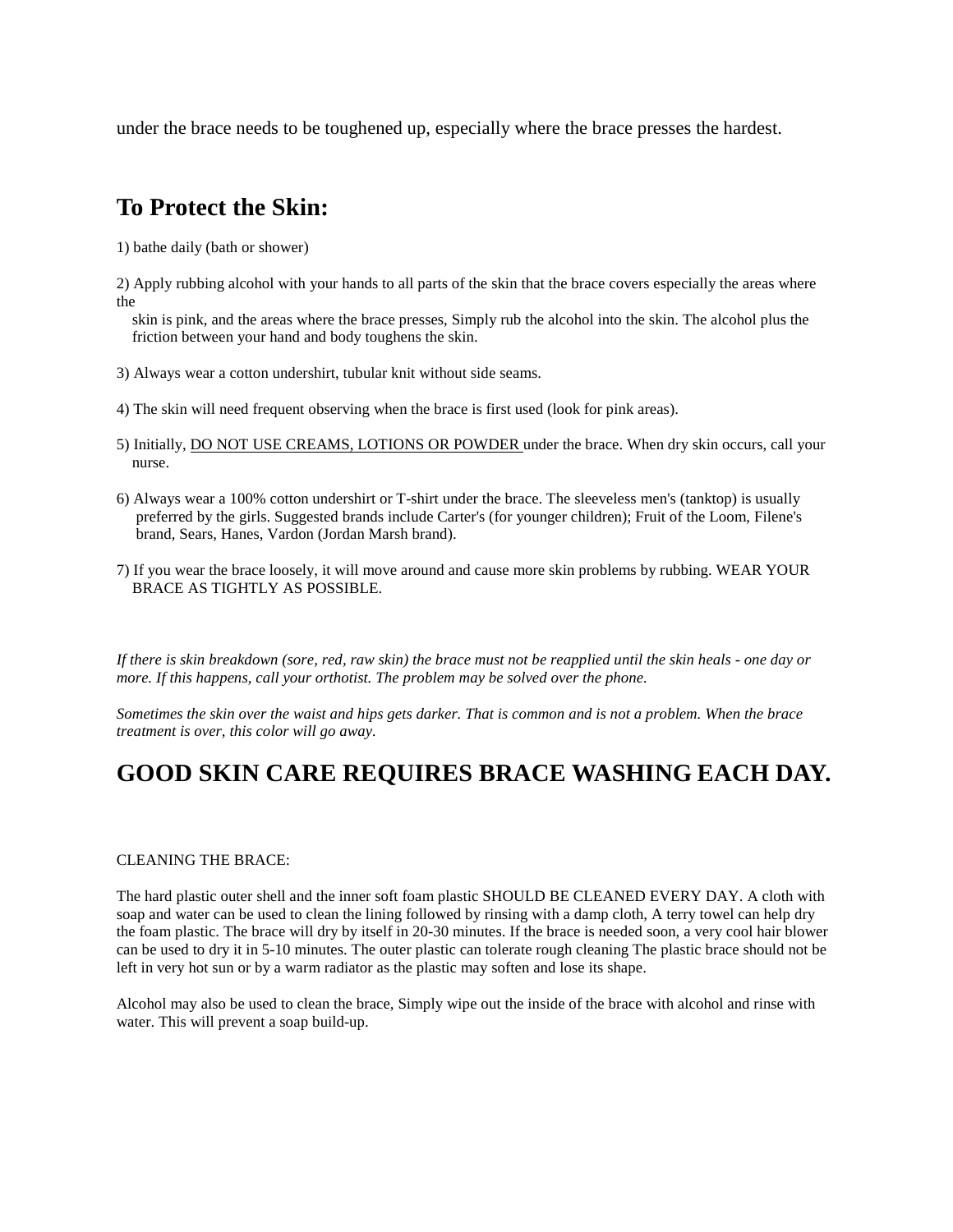under the brace needs to be toughened up, especially where the brace presses the hardest.

## **To Protect the Skin:**

1) bathe daily (bath or shower)

2) Apply rubbing alcohol with your hands to all parts of the skin that the brace covers especially the areas where the

 skin is pink, and the areas where the brace presses, Simply rub the alcohol into the skin. The alcohol plus the friction between your hand and body toughens the skin.

- 3) Always wear a cotton undershirt, tubular knit without side seams.
- 4) The skin will need frequent observing when the brace is first used (look for pink areas).
- 5) Initially, DO NOT USE CREAMS, LOTIONS OR POWDER under the brace. When dry skin occurs, call your nurse.
- 6) Always wear a 100% cotton undershirt or T-shirt under the brace. The sleeveless men's (tanktop) is usually preferred by the girls. Suggested brands include Carter's (for younger children); Fruit of the Loom, Filene's brand, Sears, Hanes, Vardon (Jordan Marsh brand).
- 7) If you wear the brace loosely, it will move around and cause more skin problems by rubbing. WEAR YOUR BRACE AS TIGHTLY AS POSSIBLE.

*If there is skin breakdown (sore, red, raw skin) the brace must not be reapplied until the skin heals - one day or more. If this happens, call your orthotist. The problem may be solved over the phone.* 

*Sometimes the skin over the waist and hips gets darker. That is common and is not a problem. When the brace treatment is over, this color will go away.* 

## **GOOD SKIN CARE REQUIRES BRACE WASHING EACH DAY.**

#### CLEANING THE BRACE:

The hard plastic outer shell and the inner soft foam plastic SHOULD BE CLEANED EVERY DAY. A cloth with soap and water can be used to clean the lining followed by rinsing with a damp cloth, A terry towel can help dry the foam plastic. The brace will dry by itself in 20-30 minutes. If the brace is needed soon, a very cool hair blower can be used to dry it in 5-10 minutes. The outer plastic can tolerate rough cleaning The plastic brace should not be left in very hot sun or by a warm radiator as the plastic may soften and lose its shape.

Alcohol may also be used to clean the brace, Simply wipe out the inside of the brace with alcohol and rinse with water. This will prevent a soap build-up.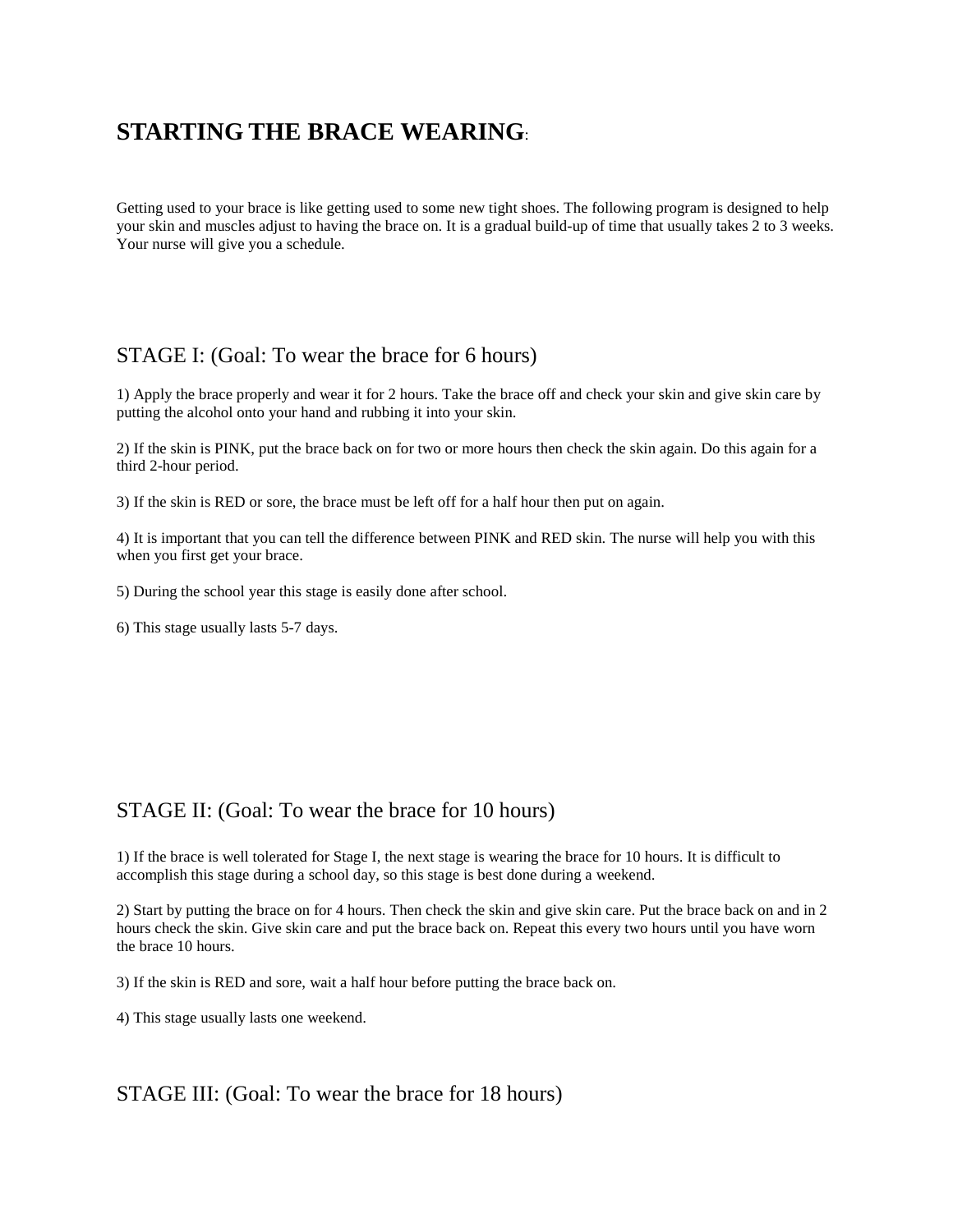## **STARTING THE BRACE WEARING**:

Getting used to your brace is like getting used to some new tight shoes. The following program is designed to help your skin and muscles adjust to having the brace on. It is a gradual build-up of time that usually takes 2 to 3 weeks. Your nurse will give you a schedule.

### STAGE I: (Goal: To wear the brace for 6 hours)

1) Apply the brace properly and wear it for 2 hours. Take the brace off and check your skin and give skin care by putting the alcohol onto your hand and rubbing it into your skin.

2) If the skin is PINK, put the brace back on for two or more hours then check the skin again. Do this again for a third 2-hour period.

3) If the skin is RED or sore, the brace must be left off for a half hour then put on again.

4) It is important that you can tell the difference between PINK and RED skin. The nurse will help you with this when you first get your brace.

5) During the school year this stage is easily done after school.

6) This stage usually lasts 5-7 days.

### STAGE II: (Goal: To wear the brace for 10 hours)

1) If the brace is well tolerated for Stage I, the next stage is wearing the brace for 10 hours. It is difficult to accomplish this stage during a school day, so this stage is best done during a weekend.

2) Start by putting the brace on for 4 hours. Then check the skin and give skin care. Put the brace back on and in 2 hours check the skin. Give skin care and put the brace back on. Repeat this every two hours until you have worn the brace 10 hours.

3) If the skin is RED and sore, wait a half hour before putting the brace back on.

4) This stage usually lasts one weekend.

#### STAGE III: (Goal: To wear the brace for 18 hours)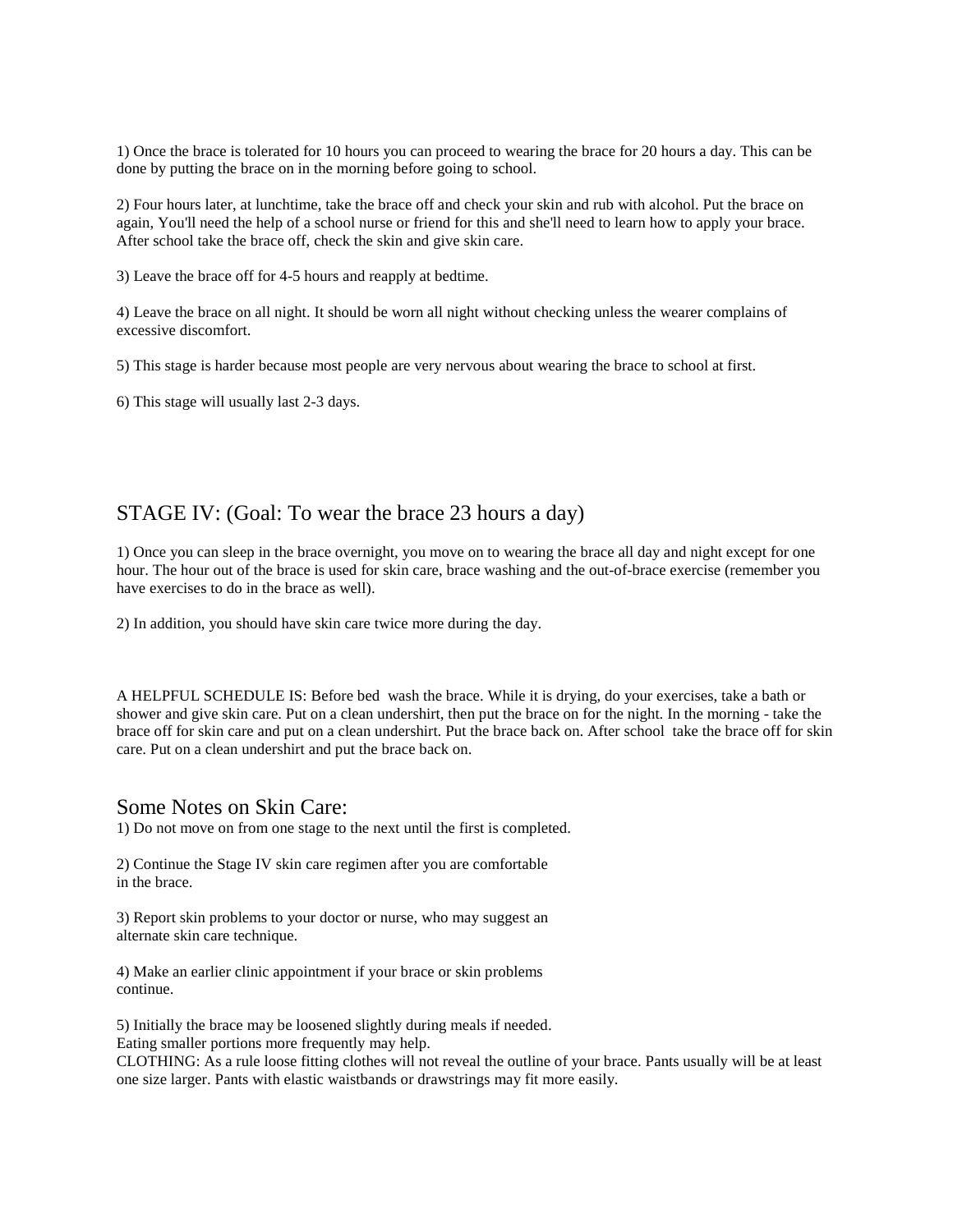1) Once the brace is tolerated for 10 hours you can proceed to wearing the brace for 20 hours a day. This can be done by putting the brace on in the morning before going to school.

2) Four hours later, at lunchtime, take the brace off and check your skin and rub with alcohol. Put the brace on again, You'll need the help of a school nurse or friend for this and she'll need to learn how to apply your brace. After school take the brace off, check the skin and give skin care.

3) Leave the brace off for 4-5 hours and reapply at bedtime.

4) Leave the brace on all night. It should be worn all night without checking unless the wearer complains of excessive discomfort.

5) This stage is harder because most people are very nervous about wearing the brace to school at first.

6) This stage will usually last 2-3 days.

### STAGE IV: (Goal: To wear the brace 23 hours a day)

1) Once you can sleep in the brace overnight, you move on to wearing the brace all day and night except for one hour. The hour out of the brace is used for skin care, brace washing and the out-of-brace exercise (remember you have exercises to do in the brace as well).

2) In addition, you should have skin care twice more during the day.

A HELPFUL SCHEDULE IS: Before bed wash the brace. While it is drying, do your exercises, take a bath or shower and give skin care. Put on a clean undershirt, then put the brace on for the night. In the morning - take the brace off for skin care and put on a clean undershirt. Put the brace back on. After school take the brace off for skin care. Put on a clean undershirt and put the brace back on.

#### Some Notes on Skin Care:

1) Do not move on from one stage to the next until the first is completed.

2) Continue the Stage IV skin care regimen after you are comfortable in the brace.

3) Report skin problems to your doctor or nurse, who may suggest an alternate skin care technique.

4) Make an earlier clinic appointment if your brace or skin problems continue.

5) Initially the brace may be loosened slightly during meals if needed. Eating smaller portions more frequently may help.

CLOTHING: As a rule loose fitting clothes will not reveal the outline of your brace. Pants usually will be at least one size larger. Pants with elastic waistbands or drawstrings may fit more easily.